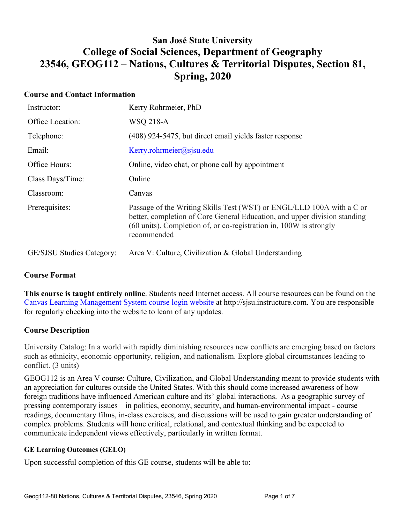## **San José State University College of Social Sciences, Department of Geography 23546, GEOG112 – Nations, Cultures & Territorial Disputes, Section 81, Spring, 2020**

## **Course and Contact Information**

| Instructor:                      | Kerry Rohrmeier, PhD                                                                                                                                                                                                                    |
|----------------------------------|-----------------------------------------------------------------------------------------------------------------------------------------------------------------------------------------------------------------------------------------|
| Office Location:                 | WSQ 218-A                                                                                                                                                                                                                               |
| Telephone:                       | (408) 924-5475, but direct email yields faster response                                                                                                                                                                                 |
| Email:                           | Kerry. rohrmeier@sisu.edu                                                                                                                                                                                                               |
| Office Hours:                    | Online, video chat, or phone call by appointment                                                                                                                                                                                        |
| Class Days/Time:                 | Online                                                                                                                                                                                                                                  |
| Classroom:                       | Canvas                                                                                                                                                                                                                                  |
| Prerequisites:                   | Passage of the Writing Skills Test (WST) or ENGL/LLD 100A with a C or<br>better, completion of Core General Education, and upper division standing<br>(60 units). Completion of, or co-registration in, 100W is strongly<br>recommended |
| <b>GE/SJSU Studies Category:</b> | Area V: Culture, Civilization & Global Understanding                                                                                                                                                                                    |

## **Course Format**

**This course is taught entirely online**. Students need Internet access. All course resources can be found on the Canvas Learning Management System course login website at http://sjsu.instructure.com. You are responsible for regularly checking into the website to learn of any updates.

## **Course Description**

University Catalog: In a world with rapidly diminishing resources new conflicts are emerging based on factors such as ethnicity, economic opportunity, religion, and nationalism. Explore global circumstances leading to conflict. (3 units)

GEOG112 is an Area V course: Culture, Civilization, and Global Understanding meant to provide students with an appreciation for cultures outside the United States. With this should come increased awareness of how foreign traditions have influenced American culture and its' global interactions. As a geographic survey of pressing contemporary issues – in politics, economy, security, and human-environmental impact - course readings, documentary films, in-class exercises, and discussions will be used to gain greater understanding of complex problems. Students will hone critical, relational, and contextual thinking and be expected to communicate independent views effectively, particularly in written format.

#### **GE Learning Outcomes (GELO)**

Upon successful completion of this GE course, students will be able to: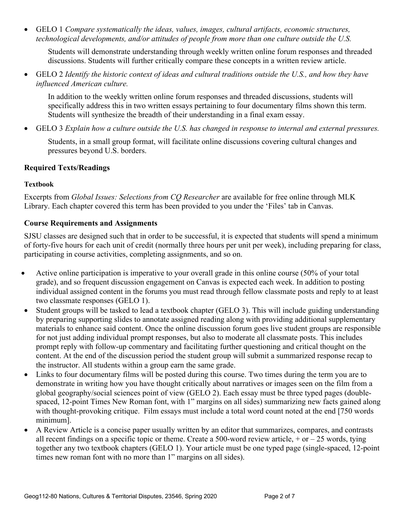• GELO 1 *Compare systematically the ideas, values, images, cultural artifacts, economic structures, technological developments, and/or attitudes of people from more than one culture outside the U.S.*

Students will demonstrate understanding through weekly written online forum responses and threaded discussions. Students will further critically compare these concepts in a written review article.

• GELO 2 *Identify the historic context of ideas and cultural traditions outside the U.S., and how they have influenced American culture.*

In addition to the weekly written online forum responses and threaded discussions, students will specifically address this in two written essays pertaining to four documentary films shown this term. Students will synthesize the breadth of their understanding in a final exam essay.

• GELO 3 *Explain how a culture outside the U.S. has changed in response to internal and external pressures.*

Students, in a small group format, will facilitate online discussions covering cultural changes and pressures beyond U.S. borders.

## **Required Texts/Readings**

#### **Textbook**

Excerpts from *Global Issues: Selections from CQ Researcher* are available for free online through MLK Library. Each chapter covered this term has been provided to you under the 'Files' tab in Canvas.

## **Course Requirements and Assignments**

SJSU classes are designed such that in order to be successful, it is expected that students will spend a minimum of forty-five hours for each unit of credit (normally three hours per unit per week), including preparing for class, participating in course activities, completing assignments, and so on.

- Active online participation is imperative to your overall grade in this online course (50% of your total grade), and so frequent discussion engagement on Canvas is expected each week. In addition to posting individual assigned content in the forums you must read through fellow classmate posts and reply to at least two classmate responses (GELO 1).
- Student groups will be tasked to lead a textbook chapter (GELO 3). This will include guiding understanding by preparing supporting slides to annotate assigned reading along with providing additional supplementary materials to enhance said content. Once the online discussion forum goes live student groups are responsible for not just adding individual prompt responses, but also to moderate all classmate posts. This includes prompt reply with follow-up commentary and facilitating further questioning and critical thought on the content. At the end of the discussion period the student group will submit a summarized response recap to the instructor. All students within a group earn the same grade.
- Links to four documentary films will be posted during this course. Two times during the term you are to demonstrate in writing how you have thought critically about narratives or images seen on the film from a global geography/social sciences point of view (GELO 2). Each essay must be three typed pages (doublespaced, 12-point Times New Roman font, with 1" margins on all sides) summarizing new facts gained along with thought-provoking critique. Film essays must include a total word count noted at the end [750 words minimum].
- A Review Article is a concise paper usually written by an editor that summarizes, compares, and contrasts all recent findings on a specific topic or theme. Create a 500-word review article,  $+$  or  $-$  25 words, tying together any two textbook chapters (GELO 1). Your article must be one typed page (single-spaced, 12-point times new roman font with no more than 1" margins on all sides).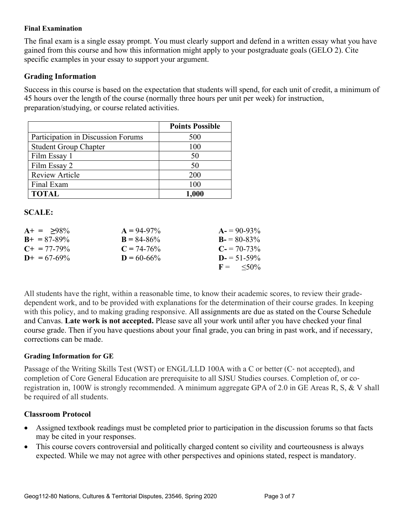#### **Final Examination**

The final exam is a single essay prompt. You must clearly support and defend in a written essay what you have gained from this course and how this information might apply to your postgraduate goals (GELO 2). Cite specific examples in your essay to support your argument.

#### **Grading Information**

Success in this course is based on the expectation that students will spend, for each unit of credit, a minimum of 45 hours over the length of the course (normally three hours per unit per week) for instruction, preparation/studying, or course related activities.

|                                    | <b>Points Possible</b> |
|------------------------------------|------------------------|
| Participation in Discussion Forums | 500                    |
| <b>Student Group Chapter</b>       | 100                    |
| Film Essay 1                       | 50                     |
| Film Essay 2                       | 50                     |
| <b>Review Article</b>              | 200                    |
| Final Exam                         | 100                    |
| <b>TOTAL</b>                       | 1,000                  |

#### **SCALE:**

| $A+ = 98\%$           | $A = 94-97\%$   | $A = 90-93\%$              |
|-----------------------|-----------------|----------------------------|
| $B_{+} = 87 - 89\%$   | $B = 84 - 86\%$ | $B = 80-83\%$              |
| $C_{\pm} = 77 - 79\%$ | $C = 74 - 76\%$ | $C = 70-73\%$              |
| $D_{+} = 67 - 69\%$   | $D = 60 - 66\%$ | $D = 51 - 59\%$            |
|                       |                 | $F = \langle 50\% \rangle$ |

All students have the right, within a reasonable time, to know their academic scores, to review their gradedependent work, and to be provided with explanations for the determination of their course grades. In keeping with this policy, and to making grading responsive. All assignments are due as stated on the Course Schedule and Canvas. **Late work is not accepted.** Please save all your work until after you have checked your final course grade. Then if you have questions about your final grade, you can bring in past work, and if necessary, corrections can be made.

#### **Grading Information for GE**

Passage of the Writing Skills Test (WST) or ENGL/LLD 100A with a C or better (C‐ not accepted), and completion of Core General Education are prerequisite to all SJSU Studies courses. Completion of, or coregistration in, 100W is strongly recommended. A minimum aggregate GPA of 2.0 in GE Areas R, S, & V shall be required of all students.

#### **Classroom Protocol**

- Assigned textbook readings must be completed prior to participation in the discussion forums so that facts may be cited in your responses.
- This course covers controversial and politically charged content so civility and courteousness is always expected. While we may not agree with other perspectives and opinions stated, respect is mandatory.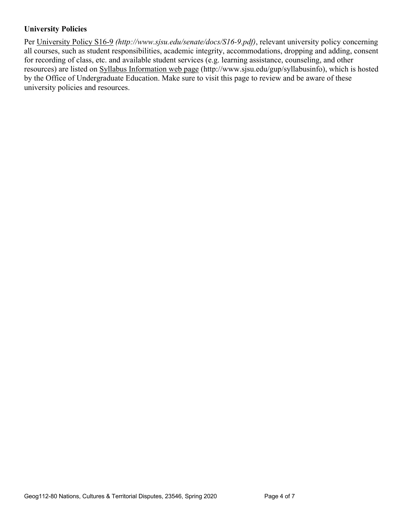## **University Policies**

Per University Policy S16-9 *(http://www.sjsu.edu/senate/docs/S16-9.pdf)*, relevant university policy concerning all courses, such as student responsibilities, academic integrity, accommodations, dropping and adding, consent for recording of class, etc. and available student services (e.g. learning assistance, counseling, and other resources) are listed on Syllabus Information web page (http://www.sjsu.edu/gup/syllabusinfo), which is hosted by the Office of Undergraduate Education. Make sure to visit this page to review and be aware of these university policies and resources.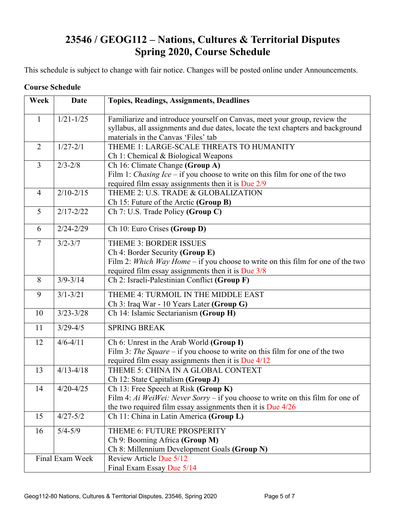# **23546 / GEOG112 – Nations, Cultures & Territorial Disputes Spring 2020, Course Schedule**

This schedule is subject to change with fair notice. Changes will be posted online under Announcements.

#### **Course Schedule**

| Week           | <b>Date</b>     | <b>Topics, Readings, Assignments, Deadlines</b>                                                                                                                                                           |  |
|----------------|-----------------|-----------------------------------------------------------------------------------------------------------------------------------------------------------------------------------------------------------|--|
| $\mathbf{1}$   | $1/21 - 1/25$   | Familiarize and introduce yourself on Canvas, meet your group, review the<br>syllabus, all assignments and due dates, locate the text chapters and background<br>materials in the Canvas 'Files' tab      |  |
| $\overline{2}$ | $1/27 - 2/1$    | THEME 1: LARGE-SCALE THREATS TO HUMANITY<br>Ch 1: Chemical & Biological Weapons                                                                                                                           |  |
| $\overline{3}$ | $2/3 - 2/8$     | Ch 16: Climate Change (Group A)<br>Film 1: <i>Chasing Ice</i> – if you choose to write on this film for one of the two<br>required film essay assignments then it is Due 2/9                              |  |
| $\overline{4}$ | $2/10 - 2/15$   | THEME 2: U.S. TRADE & GLOBALIZATION<br>Ch 15: Future of the Arctic (Group B)                                                                                                                              |  |
| 5              | $2/17 - 2/22$   | Ch 7: U.S. Trade Policy (Group C)                                                                                                                                                                         |  |
| 6              | $2/24 - 2/29$   | Ch 10: Euro Crises (Group D)                                                                                                                                                                              |  |
| $\overline{7}$ | $3/2 - 3/7$     | <b>THEME 3: BORDER ISSUES</b><br>Ch 4: Border Security (Group E)<br>Film 2: Which Way Home – if you choose to write on this film for one of the two<br>required film essay assignments then it is Due 3/8 |  |
| 8              | $3/9 - 3/14$    | Ch 2: Israeli-Palestinian Conflict (Group F)                                                                                                                                                              |  |
| 9              | $3/1 - 3/21$    | THEME 4: TURMOIL IN THE MIDDLE EAST<br>Ch 3: Iraq War - 10 Years Later (Group G)                                                                                                                          |  |
| 10             | $3/23 - 3/28$   | Ch 14: Islamic Sectarianism (Group H)                                                                                                                                                                     |  |
| 11             | $3/29 - 4/5$    | <b>SPRING BREAK</b>                                                                                                                                                                                       |  |
| 12             | $4/6 - 4/11$    | Ch 6: Unrest in the Arab World (Group I)<br>Film 3: The Square – if you choose to write on this film for one of the two<br>required film essay assignments then it is Due $4/12$                          |  |
| 13             | $4/13 - 4/18$   | THEME 5: CHINA IN A GLOBAL CONTEXT<br>Ch 12: State Capitalism (Group J)                                                                                                                                   |  |
| 14             | $4/20 - 4/25$   | Ch 13: Free Speech at Risk (Group K)<br>Film 4: Ai WeiWei: Never Sorry – if you choose to write on this film for one of<br>the two required film essay assignments then it is Due $4/26$                  |  |
| 15             | $4/27 - 5/2$    | Ch 11: China in Latin America (Group L)                                                                                                                                                                   |  |
| 16             | $5/4 - 5/9$     | THEME 6: FUTURE PROSPERITY<br>Ch 9: Booming Africa (Group M)<br>Ch 8: Millennium Development Goals (Group N)                                                                                              |  |
|                | Final Exam Week | Review Article Due 5/12<br>Final Exam Essay Due 5/14                                                                                                                                                      |  |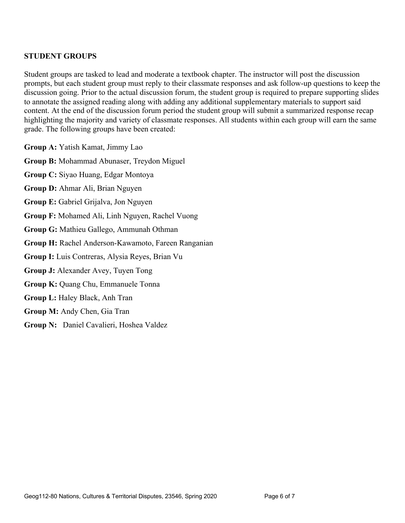## **STUDENT GROUPS**

Student groups are tasked to lead and moderate a textbook chapter. The instructor will post the discussion prompts, but each student group must reply to their classmate responses and ask follow-up questions to keep the discussion going. Prior to the actual discussion forum, the student group is required to prepare supporting slides to annotate the assigned reading along with adding any additional supplementary materials to support said content. At the end of the discussion forum period the student group will submit a summarized response recap highlighting the majority and variety of classmate responses. All students within each group will earn the same grade. The following groups have been created:

**Group A:** Yatish Kamat, Jimmy Lao

**Group B:** Mohammad Abunaser, Treydon Miguel

**Group C:** Siyao Huang, Edgar Montoya

**Group D:** Ahmar Ali, Brian Nguyen

**Group E:** Gabriel Grijalva, Jon Nguyen

**Group F:** Mohamed Ali, Linh Nguyen, Rachel Vuong

**Group G:** Mathieu Gallego, Ammunah Othman

**Group H:** Rachel Anderson-Kawamoto, Fareen Ranganian

**Group I:** Luis Contreras, Alysia Reyes, Brian Vu

**Group J:** Alexander Avey, Tuyen Tong

**Group K:** Quang Chu, Emmanuele Tonna

**Group L:** Haley Black, Anh Tran

**Group M:** Andy Chen, Gia Tran

**Group N:** Daniel Cavalieri, Hoshea Valdez